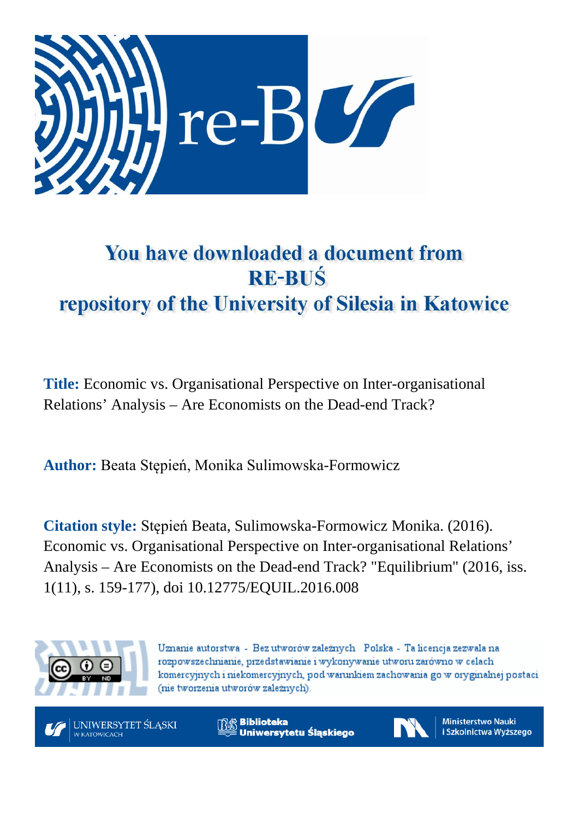

# You have downloaded a document from **RE-BUŚ** repository of the University of Silesia in Katowice

**Title:** Economic vs. Organisational Perspective on Inter-organisational Relations' Analysis – Are Economists on the Dead-end Track?

**Author:** Beata Stępień, Monika Sulimowska-Formowicz

**Citation style:** Stępień Beata, Sulimowska-Formowicz Monika. (2016). Economic vs. Organisational Perspective on Inter-organisational Relations' Analysis – Are Economists on the Dead-end Track? "Equilibrium" (2016, iss. 1(11), s. 159-177), doi 10.12775/EQUIL.2016.008



Uznanie autorstwa - Bez utworów zależnych Polska - Ta licencja zezwala na rozpowszechnianie, przedstawianie i wykonywanie utworu zarówno w celach komercyjnych i niekomercyjnych, pod warunkiem zachowania go w oryginalnej postaci (nie tworzenia utworów zależnych).



**Biblioteka** Uniwersytetu Śląskiego



**Ministerstwo Nauki** i Szkolnictwa Wyższego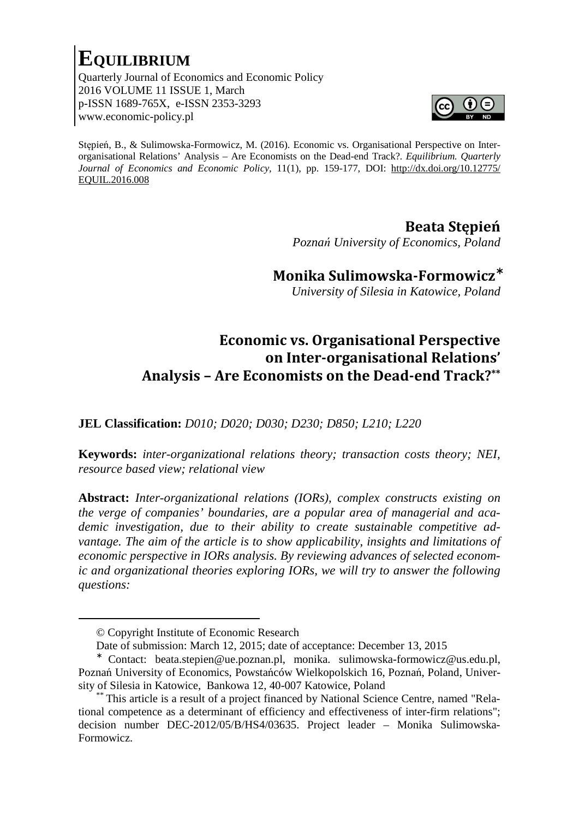# **EQUILIBRIUM**

Quarterly Journal of Economics and Economic Policy 2016 VOLUME 11 ISSUE 1, March p-ISSN 1689-765X, e-ISSN 2353-3293 www.economic-policy.pl



Stępień, B., & Sulimowska-Formowicz, M. (2016). Economic vs. Organisational Perspective on Interorganisational Relations' Analysis – Are Economists on the Dead-end Track?*. Equilibrium. Quarterly Journal of Economics and Economic Policy,* 11(1), pp. 159-177, DOI: http://dx.doi.org/10.12775/ EQUIL.2016.008

### **Beata Stępień**

 *Poznań University of Economics, Poland*

**Monika Sulimowska-Formowicz**<sup>∗</sup>

*University of Silesia in Katowice, Poland* 

## **Economic vs. Organisational Perspective on Inter-organisational Relations' Analysis – Are Economists on the Dead-end Track?\*\***

**JEL Classification:** *D010; D020; D030; D230; D850; L210; L220* 

**Keywords:** *inter-organizational relations theory; transaction costs theory; NEI, resource based view; relational view* 

**Abstract:** *Inter-organizational relations (IORs), complex constructs existing on the verge of companies' boundaries, are a popular area of managerial and academic investigation, due to their ability to create sustainable competitive advantage. The aim of the article is to show applicability, insights and limitations of economic perspective in IORs analysis. By reviewing advances of selected economic and organizational theories exploring IORs, we will try to answer the following questions:* 

<u>.</u>

<sup>©</sup> Copyright Institute of Economic Research

Date of submission: March 12, 2015; date of acceptance: December 13, 2015

<sup>∗</sup> Contact: beata.stepien@ue.poznan.pl, monika. sulimowska-formowicz@us.edu.pl, Poznań University of Economics, Powstańców Wielkopolskich 16, Poznań, Poland, University of Silesia in Katowice, Bankowa 12, 40-007 Katowice, Poland

This article is a result of a project financed by National Science Centre, named "Relational competence as a determinant of efficiency and effectiveness of inter-firm relations"; decision number DEC-2012/05/B/HS4/03635. Project leader – Monika Sulimowska-Formowicz.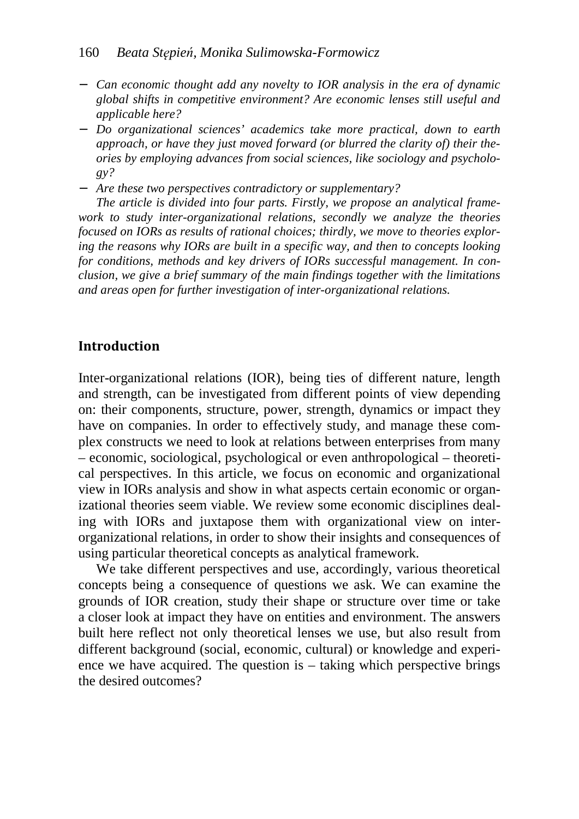- − *Can economic thought add any novelty to IOR analysis in the era of dynamic global shifts in competitive environment? Are economic lenses still useful and applicable here?*
- − *Do organizational sciences' academics take more practical, down to earth approach, or have they just moved forward (or blurred the clarity of) their theories by employing advances from social sciences, like sociology and psychology?*
- − *Are these two perspectives contradictory or supplementary?*

*The article is divided into four parts. Firstly, we propose an analytical framework to study inter-organizational relations, secondly we analyze the theories focused on IORs as results of rational choices; thirdly, we move to theories exploring the reasons why IORs are built in a specific way, and then to concepts looking for conditions, methods and key drivers of IORs successful management. In conclusion, we give a brief summary of the main findings together with the limitations and areas open for further investigation of inter-organizational relations.* 

#### **Introduction**

Inter-organizational relations (IOR), being ties of different nature, length and strength, can be investigated from different points of view depending on: their components, structure, power, strength, dynamics or impact they have on companies. In order to effectively study, and manage these complex constructs we need to look at relations between enterprises from many – economic, sociological, psychological or even anthropological – theoretical perspectives. In this article, we focus on economic and organizational view in IORs analysis and show in what aspects certain economic or organizational theories seem viable. We review some economic disciplines dealing with IORs and juxtapose them with organizational view on interorganizational relations, in order to show their insights and consequences of using particular theoretical concepts as analytical framework.

We take different perspectives and use, accordingly, various theoretical concepts being a consequence of questions we ask. We can examine the grounds of IOR creation, study their shape or structure over time or take a closer look at impact they have on entities and environment. The answers built here reflect not only theoretical lenses we use, but also result from different background (social, economic, cultural) or knowledge and experience we have acquired. The question is – taking which perspective brings the desired outcomes?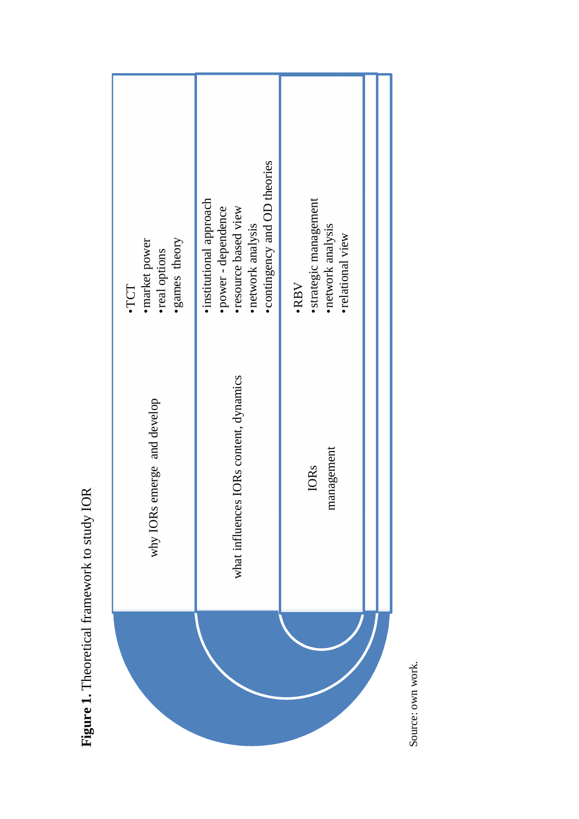| ·games theory<br>· market power<br>·real options<br>·TCT | • contingency and OD theories<br>· institutional approach<br>·power - dependence<br>• resource based view<br>· network analysis | ·strategic management<br>• network analysis<br>•relational view<br>·RBV |
|----------------------------------------------------------|---------------------------------------------------------------------------------------------------------------------------------|-------------------------------------------------------------------------|
| why IORs emerge and develop                              | what influences IORs content, dynamics                                                                                          | management<br><b>IORs</b>                                               |
|                                                          |                                                                                                                                 |                                                                         |

Figure 1. Theoretical framework to study IOR **Figure 1.** Theoretical framework to study IOR

Source: own work. Source: own work.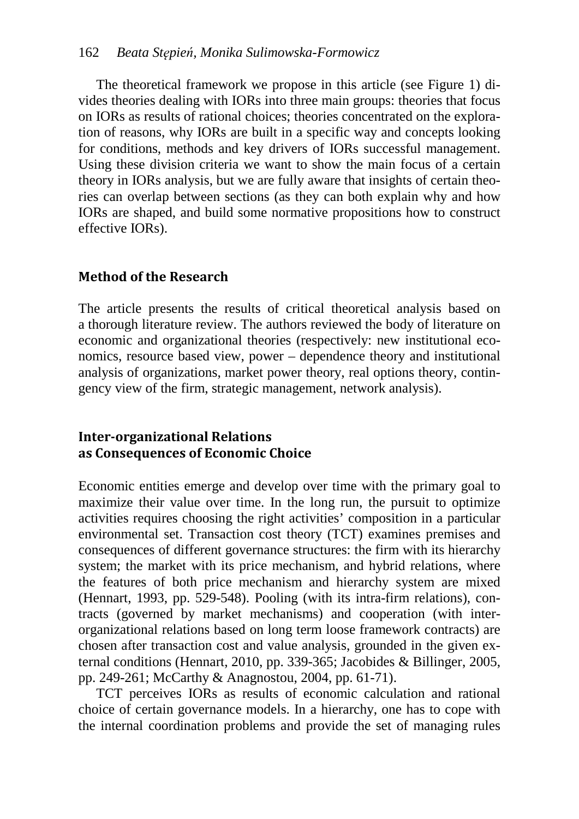The theoretical framework we propose in this article (see Figure 1) divides theories dealing with IORs into three main groups: theories that focus on IORs as results of rational choices; theories concentrated on the exploration of reasons, why IORs are built in a specific way and concepts looking for conditions, methods and key drivers of IORs successful management. Using these division criteria we want to show the main focus of a certain theory in IORs analysis, but we are fully aware that insights of certain theories can overlap between sections (as they can both explain why and how IORs are shaped, and build some normative propositions how to construct effective IORs).

#### **Method of the Research**

The article presents the results of critical theoretical analysis based on a thorough literature review. The authors reviewed the body of literature on economic and organizational theories (respectively: new institutional economics, resource based view, power – dependence theory and institutional analysis of organizations, market power theory, real options theory, contingency view of the firm, strategic management, network analysis).

#### **Inter-organizational Relations as Consequences of Economic Choice**

Economic entities emerge and develop over time with the primary goal to maximize their value over time. In the long run, the pursuit to optimize activities requires choosing the right activities' composition in a particular environmental set. Transaction cost theory (TCT) examines premises and consequences of different governance structures: the firm with its hierarchy system; the market with its price mechanism, and hybrid relations, where the features of both price mechanism and hierarchy system are mixed (Hennart, 1993, pp. 529-548). Pooling (with its intra-firm relations), contracts (governed by market mechanisms) and cooperation (with interorganizational relations based on long term loose framework contracts) are chosen after transaction cost and value analysis, grounded in the given external conditions (Hennart, 2010, pp. 339-365; Jacobides & Billinger, 2005, pp. 249-261; McCarthy & Anagnostou, 2004, pp. 61-71).

TCT perceives IORs as results of economic calculation and rational choice of certain governance models. In a hierarchy, one has to cope with the internal coordination problems and provide the set of managing rules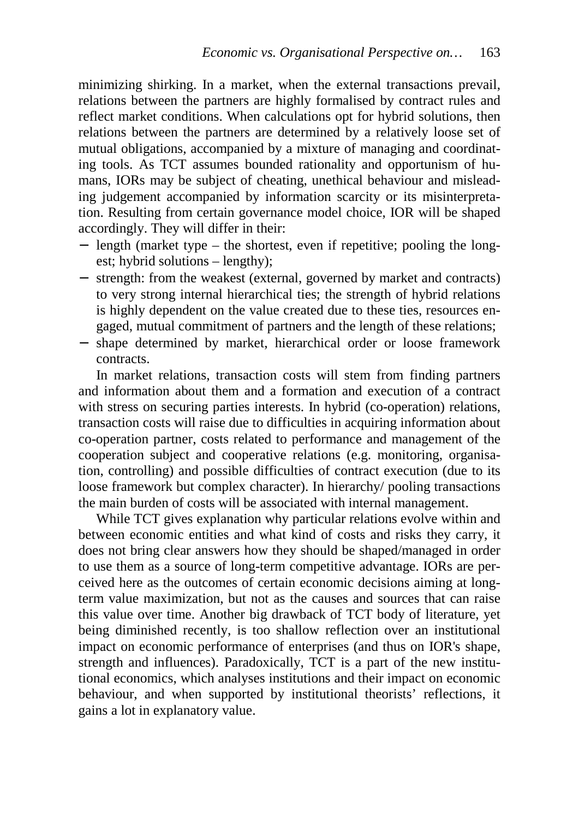minimizing shirking. In a market, when the external transactions prevail, relations between the partners are highly formalised by contract rules and reflect market conditions. When calculations opt for hybrid solutions, then relations between the partners are determined by a relatively loose set of mutual obligations, accompanied by a mixture of managing and coordinating tools. As TCT assumes bounded rationality and opportunism of humans, IORs may be subject of cheating, unethical behaviour and misleading judgement accompanied by information scarcity or its misinterpretation. Resulting from certain governance model choice, IOR will be shaped accordingly. They will differ in their:

- − length (market type the shortest, even if repetitive; pooling the longest; hybrid solutions – lengthy);
- − strength: from the weakest (external, governed by market and contracts) to very strong internal hierarchical ties; the strength of hybrid relations is highly dependent on the value created due to these ties, resources engaged, mutual commitment of partners and the length of these relations;
- − shape determined by market, hierarchical order or loose framework contracts.

In market relations, transaction costs will stem from finding partners and information about them and a formation and execution of a contract with stress on securing parties interests. In hybrid (co-operation) relations, transaction costs will raise due to difficulties in acquiring information about co-operation partner, costs related to performance and management of the cooperation subject and cooperative relations (e.g. monitoring, organisation, controlling) and possible difficulties of contract execution (due to its loose framework but complex character). In hierarchy/ pooling transactions the main burden of costs will be associated with internal management.

While TCT gives explanation why particular relations evolve within and between economic entities and what kind of costs and risks they carry, it does not bring clear answers how they should be shaped/managed in order to use them as a source of long-term competitive advantage. IORs are perceived here as the outcomes of certain economic decisions aiming at longterm value maximization, but not as the causes and sources that can raise this value over time. Another big drawback of TCT body of literature, yet being diminished recently, is too shallow reflection over an institutional impact on economic performance of enterprises (and thus on IOR's shape, strength and influences). Paradoxically, TCT is a part of the new institutional economics, which analyses institutions and their impact on economic behaviour, and when supported by institutional theorists' reflections, it gains a lot in explanatory value.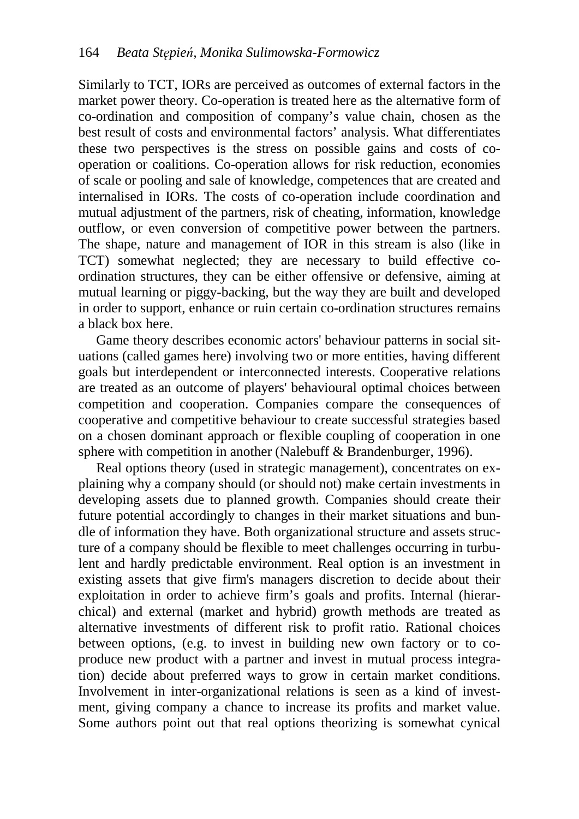Similarly to TCT, IORs are perceived as outcomes of external factors in the market power theory. Co-operation is treated here as the alternative form of co-ordination and composition of company's value chain, chosen as the best result of costs and environmental factors' analysis. What differentiates these two perspectives is the stress on possible gains and costs of cooperation or coalitions. Co-operation allows for risk reduction, economies of scale or pooling and sale of knowledge, competences that are created and internalised in IORs. The costs of co-operation include coordination and mutual adjustment of the partners, risk of cheating, information, knowledge outflow, or even conversion of competitive power between the partners. The shape, nature and management of IOR in this stream is also (like in TCT) somewhat neglected; they are necessary to build effective coordination structures, they can be either offensive or defensive, aiming at mutual learning or piggy-backing, but the way they are built and developed in order to support, enhance or ruin certain co-ordination structures remains a black box here.

Game theory describes economic actors' behaviour patterns in social situations (called games here) involving two or more entities, having different goals but interdependent or interconnected interests. Cooperative relations are treated as an outcome of players' behavioural optimal choices between competition and cooperation. Companies compare the consequences of cooperative and competitive behaviour to create successful strategies based on a chosen dominant approach or flexible coupling of cooperation in one sphere with competition in another (Nalebuff & Brandenburger, 1996).

Real options theory (used in strategic management), concentrates on explaining why a company should (or should not) make certain investments in developing assets due to planned growth. Companies should create their future potential accordingly to changes in their market situations and bundle of information they have. Both organizational structure and assets structure of a company should be flexible to meet challenges occurring in turbulent and hardly predictable environment. Real option is an investment in existing assets that give firm's managers discretion to decide about their exploitation in order to achieve firm's goals and profits. Internal (hierarchical) and external (market and hybrid) growth methods are treated as alternative investments of different risk to profit ratio. Rational choices between options, (e.g. to invest in building new own factory or to coproduce new product with a partner and invest in mutual process integration) decide about preferred ways to grow in certain market conditions. Involvement in inter-organizational relations is seen as a kind of investment, giving company a chance to increase its profits and market value. Some authors point out that real options theorizing is somewhat cynical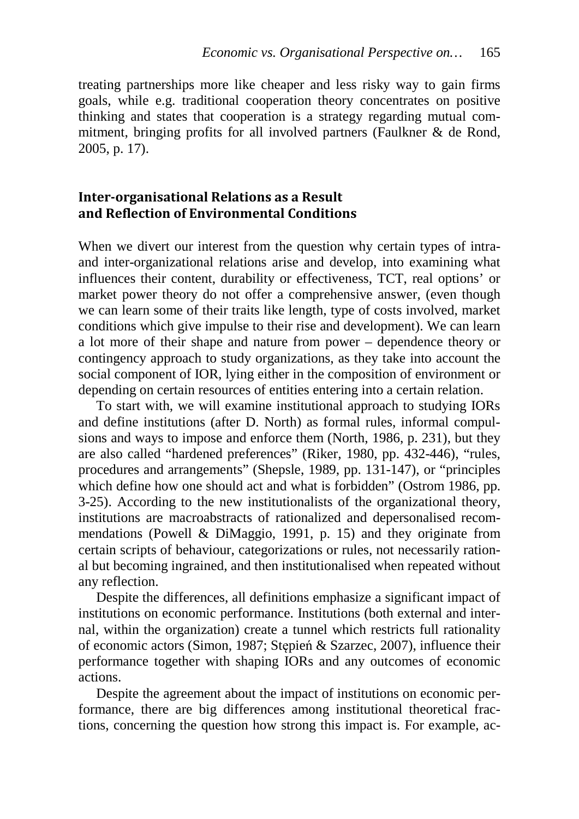treating partnerships more like cheaper and less risky way to gain firms goals, while e.g. traditional cooperation theory concentrates on positive thinking and states that cooperation is a strategy regarding mutual commitment, bringing profits for all involved partners (Faulkner & de Rond, 2005, p. 17).

#### **Inter-organisational Relations as a Result and Reflection of Environmental Conditions**

When we divert our interest from the question why certain types of intraand inter-organizational relations arise and develop, into examining what influences their content, durability or effectiveness, TCT, real options' or market power theory do not offer a comprehensive answer, (even though we can learn some of their traits like length, type of costs involved, market conditions which give impulse to their rise and development). We can learn a lot more of their shape and nature from power – dependence theory or contingency approach to study organizations, as they take into account the social component of IOR, lying either in the composition of environment or depending on certain resources of entities entering into a certain relation.

To start with, we will examine institutional approach to studying IORs and define institutions (after D. North) as formal rules, informal compulsions and ways to impose and enforce them (North, 1986, p. 231), but they are also called "hardened preferences" (Riker, 1980, pp. 432-446), "rules, procedures and arrangements" (Shepsle, 1989, pp. 131-147), or "principles which define how one should act and what is forbidden" (Ostrom 1986, pp. 3-25). According to the new institutionalists of the organizational theory, institutions are macroabstracts of rationalized and depersonalised recommendations (Powell & DiMaggio, 1991, p. 15) and they originate from certain scripts of behaviour, categorizations or rules, not necessarily rational but becoming ingrained, and then institutionalised when repeated without any reflection.

Despite the differences, all definitions emphasize a significant impact of institutions on economic performance. Institutions (both external and internal, within the organization) create a tunnel which restricts full rationality of economic actors (Simon, 1987; Stępień & Szarzec, 2007), influence their performance together with shaping IORs and any outcomes of economic actions.

Despite the agreement about the impact of institutions on economic performance, there are big differences among institutional theoretical fractions, concerning the question how strong this impact is. For example, ac-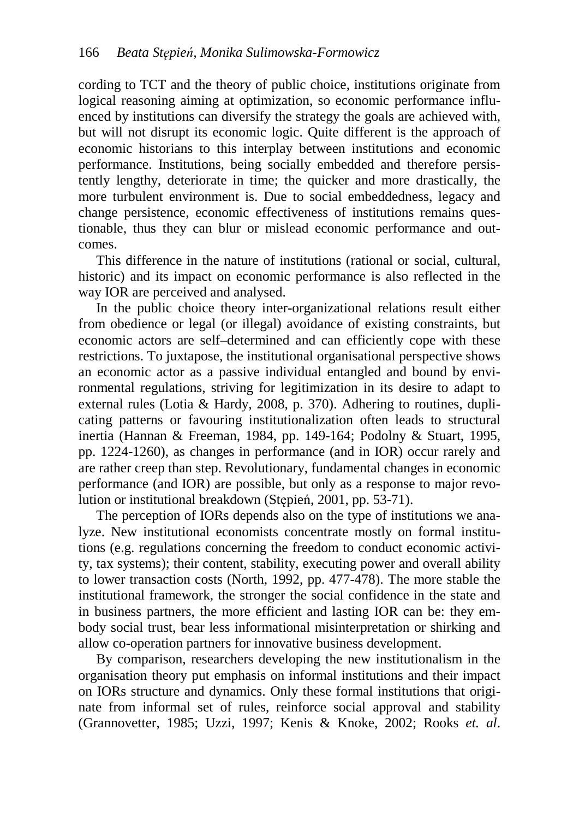cording to TCT and the theory of public choice, institutions originate from logical reasoning aiming at optimization, so economic performance influenced by institutions can diversify the strategy the goals are achieved with, but will not disrupt its economic logic. Quite different is the approach of economic historians to this interplay between institutions and economic performance. Institutions, being socially embedded and therefore persistently lengthy, deteriorate in time; the quicker and more drastically, the more turbulent environment is. Due to social embeddedness, legacy and change persistence, economic effectiveness of institutions remains questionable, thus they can blur or mislead economic performance and outcomes.

This difference in the nature of institutions (rational or social, cultural, historic) and its impact on economic performance is also reflected in the way IOR are perceived and analysed.

In the public choice theory inter-organizational relations result either from obedience or legal (or illegal) avoidance of existing constraints, but economic actors are self–determined and can efficiently cope with these restrictions. To juxtapose, the institutional organisational perspective shows an economic actor as a passive individual entangled and bound by environmental regulations, striving for legitimization in its desire to adapt to external rules (Lotia & Hardy, 2008, p. 370). Adhering to routines, duplicating patterns or favouring institutionalization often leads to structural inertia (Hannan & Freeman, 1984, pp. 149-164; Podolny & Stuart, 1995, pp. 1224-1260), as changes in performance (and in IOR) occur rarely and are rather creep than step. Revolutionary, fundamental changes in economic performance (and IOR) are possible, but only as a response to major revolution or institutional breakdown (Stępień, 2001, pp. 53-71).

The perception of IORs depends also on the type of institutions we analyze. New institutional economists concentrate mostly on formal institutions (e.g. regulations concerning the freedom to conduct economic activity, tax systems); their content, stability, executing power and overall ability to lower transaction costs (North, 1992, pp. 477-478). The more stable the institutional framework, the stronger the social confidence in the state and in business partners, the more efficient and lasting IOR can be: they embody social trust, bear less informational misinterpretation or shirking and allow co-operation partners for innovative business development.

By comparison, researchers developing the new institutionalism in the organisation theory put emphasis on informal institutions and their impact on IORs structure and dynamics. Only these formal institutions that originate from informal set of rules, reinforce social approval and stability (Grannovetter, 1985; Uzzi, 1997; Kenis & Knoke, 2002; Rooks *et. al*.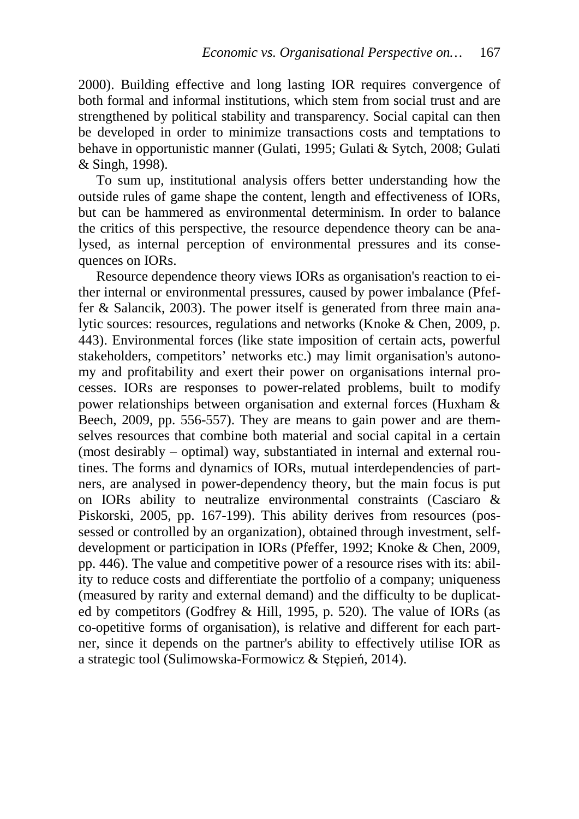2000). Building effective and long lasting IOR requires convergence of both formal and informal institutions, which stem from social trust and are strengthened by political stability and transparency. Social capital can then be developed in order to minimize transactions costs and temptations to behave in opportunistic manner (Gulati, 1995; Gulati & Sytch, 2008; Gulati & Singh, 1998).

To sum up, institutional analysis offers better understanding how the outside rules of game shape the content, length and effectiveness of IORs, but can be hammered as environmental determinism. In order to balance the critics of this perspective, the resource dependence theory can be analysed, as internal perception of environmental pressures and its consequences on IORs.

Resource dependence theory views IORs as organisation's reaction to either internal or environmental pressures, caused by power imbalance (Pfeffer & Salancik, 2003). The power itself is generated from three main analytic sources: resources, regulations and networks (Knoke & Chen, 2009, p. 443). Environmental forces (like state imposition of certain acts, powerful stakeholders, competitors' networks etc.) may limit organisation's autonomy and profitability and exert their power on organisations internal processes. IORs are responses to power-related problems, built to modify power relationships between organisation and external forces (Huxham & Beech, 2009, pp. 556-557). They are means to gain power and are themselves resources that combine both material and social capital in a certain (most desirably – optimal) way, substantiated in internal and external routines. The forms and dynamics of IORs, mutual interdependencies of partners, are analysed in power-dependency theory, but the main focus is put on IORs ability to neutralize environmental constraints (Casciaro & Piskorski, 2005, pp. 167-199). This ability derives from resources (possessed or controlled by an organization), obtained through investment, selfdevelopment or participation in IORs (Pfeffer, 1992; Knoke & Chen, 2009, pp. 446). The value and competitive power of a resource rises with its: ability to reduce costs and differentiate the portfolio of a company; uniqueness (measured by rarity and external demand) and the difficulty to be duplicated by competitors (Godfrey & Hill, 1995, p. 520). The value of IORs (as co-opetitive forms of organisation), is relative and different for each partner, since it depends on the partner's ability to effectively utilise IOR as a strategic tool (Sulimowska-Formowicz & Stępień, 2014).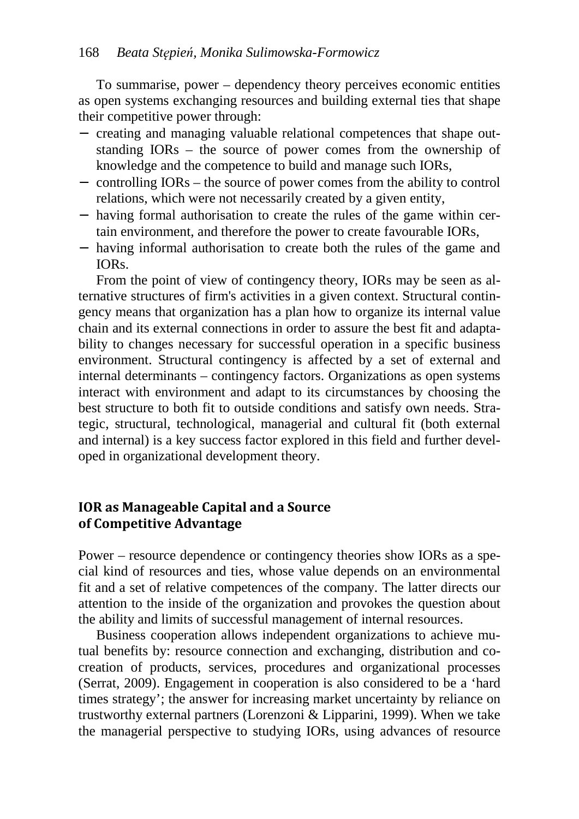To summarise, power – dependency theory perceives economic entities as open systems exchanging resources and building external ties that shape their competitive power through:

- − creating and managing valuable relational competences that shape outstanding IORs – the source of power comes from the ownership of knowledge and the competence to build and manage such IORs,
- − controlling IORs the source of power comes from the ability to control relations, which were not necessarily created by a given entity,
- − having formal authorisation to create the rules of the game within certain environment, and therefore the power to create favourable IORs,
- − having informal authorisation to create both the rules of the game and IORs.

From the point of view of contingency theory, IORs may be seen as alternative structures of firm's activities in a given context. Structural contingency means that organization has a plan how to organize its internal value chain and its external connections in order to assure the best fit and adaptability to changes necessary for successful operation in a specific business environment. Structural contingency is affected by a set of external and internal determinants – contingency factors. Organizations as open systems interact with environment and adapt to its circumstances by choosing the best structure to both fit to outside conditions and satisfy own needs. Strategic, structural, technological, managerial and cultural fit (both external and internal) is a key success factor explored in this field and further developed in organizational development theory.

#### **IOR as Manageable Capital and a Source of Competitive Advantage**

Power – resource dependence or contingency theories show IORs as a special kind of resources and ties, whose value depends on an environmental fit and a set of relative competences of the company. The latter directs our attention to the inside of the organization and provokes the question about the ability and limits of successful management of internal resources.

Business cooperation allows independent organizations to achieve mutual benefits by: resource connection and exchanging, distribution and cocreation of products, services, procedures and organizational processes (Serrat, 2009). Engagement in cooperation is also considered to be a 'hard times strategy'; the answer for increasing market uncertainty by reliance on trustworthy external partners (Lorenzoni & Lipparini, 1999). When we take the managerial perspective to studying IORs, using advances of resource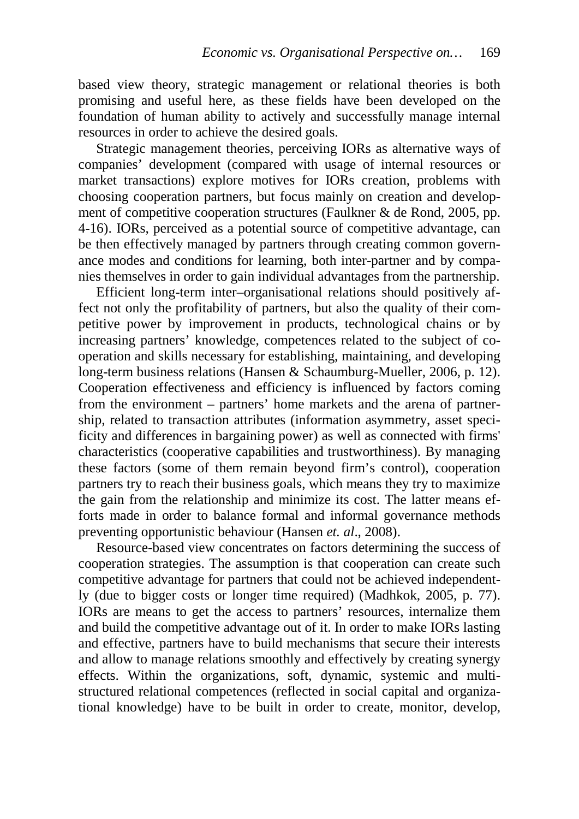based view theory, strategic management or relational theories is both promising and useful here, as these fields have been developed on the foundation of human ability to actively and successfully manage internal resources in order to achieve the desired goals.

Strategic management theories, perceiving IORs as alternative ways of companies' development (compared with usage of internal resources or market transactions) explore motives for IORs creation, problems with choosing cooperation partners, but focus mainly on creation and development of competitive cooperation structures (Faulkner & de Rond, 2005, pp. 4-16). IORs, perceived as a potential source of competitive advantage, can be then effectively managed by partners through creating common governance modes and conditions for learning, both inter-partner and by companies themselves in order to gain individual advantages from the partnership.

Efficient long-term inter–organisational relations should positively affect not only the profitability of partners, but also the quality of their competitive power by improvement in products, technological chains or by increasing partners' knowledge, competences related to the subject of cooperation and skills necessary for establishing, maintaining, and developing long-term business relations (Hansen & Schaumburg-Mueller, 2006, p. 12). Cooperation effectiveness and efficiency is influenced by factors coming from the environment – partners' home markets and the arena of partnership, related to transaction attributes (information asymmetry, asset specificity and differences in bargaining power) as well as connected with firms' characteristics (cooperative capabilities and trustworthiness). By managing these factors (some of them remain beyond firm's control), cooperation partners try to reach their business goals, which means they try to maximize the gain from the relationship and minimize its cost. The latter means efforts made in order to balance formal and informal governance methods preventing opportunistic behaviour (Hansen *et. al*., 2008).

Resource-based view concentrates on factors determining the success of cooperation strategies. The assumption is that cooperation can create such competitive advantage for partners that could not be achieved independently (due to bigger costs or longer time required) (Madhkok, 2005, p. 77). IORs are means to get the access to partners' resources, internalize them and build the competitive advantage out of it. In order to make IORs lasting and effective, partners have to build mechanisms that secure their interests and allow to manage relations smoothly and effectively by creating synergy effects. Within the organizations, soft, dynamic, systemic and multistructured relational competences (reflected in social capital and organizational knowledge) have to be built in order to create, monitor, develop,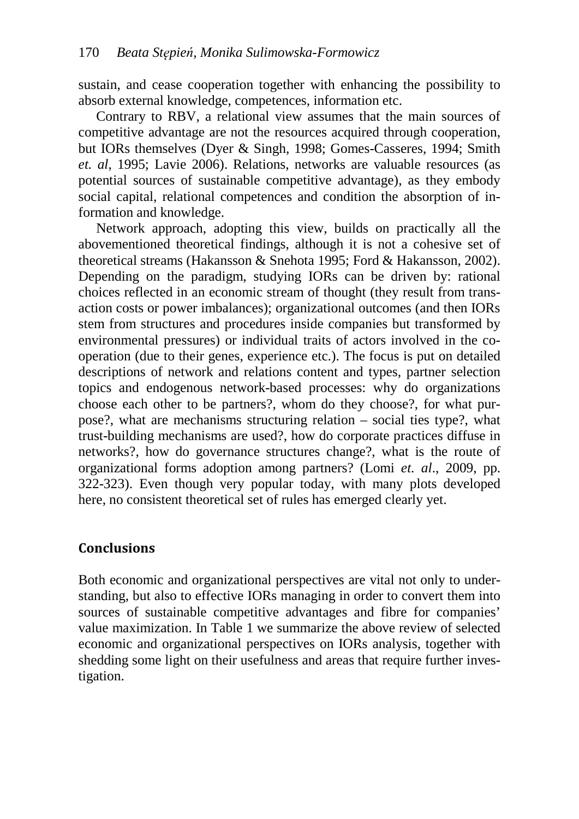sustain, and cease cooperation together with enhancing the possibility to absorb external knowledge, competences, information etc.

Contrary to RBV, a relational view assumes that the main sources of competitive advantage are not the resources acquired through cooperation, but IORs themselves (Dyer & Singh, 1998; Gomes-Casseres, 1994; Smith *et. al*, 1995; Lavie 2006). Relations, networks are valuable resources (as potential sources of sustainable competitive advantage), as they embody social capital, relational competences and condition the absorption of information and knowledge.

Network approach, adopting this view, builds on practically all the abovementioned theoretical findings, although it is not a cohesive set of theoretical streams (Hakansson & Snehota 1995; Ford & Hakansson, 2002). Depending on the paradigm, studying IORs can be driven by: rational choices reflected in an economic stream of thought (they result from transaction costs or power imbalances); organizational outcomes (and then IORs stem from structures and procedures inside companies but transformed by environmental pressures) or individual traits of actors involved in the cooperation (due to their genes, experience etc.). The focus is put on detailed descriptions of network and relations content and types, partner selection topics and endogenous network-based processes: why do organizations choose each other to be partners?, whom do they choose?, for what purpose?, what are mechanisms structuring relation – social ties type?, what trust-building mechanisms are used?, how do corporate practices diffuse in networks?, how do governance structures change?, what is the route of organizational forms adoption among partners? (Lomi *et. al*., 2009, pp. 322-323). Even though very popular today, with many plots developed here, no consistent theoretical set of rules has emerged clearly yet.

#### **Conclusions**

Both economic and organizational perspectives are vital not only to understanding, but also to effective IORs managing in order to convert them into sources of sustainable competitive advantages and fibre for companies' value maximization. In Table 1 we summarize the above review of selected economic and organizational perspectives on IORs analysis, together with shedding some light on their usefulness and areas that require further investigation.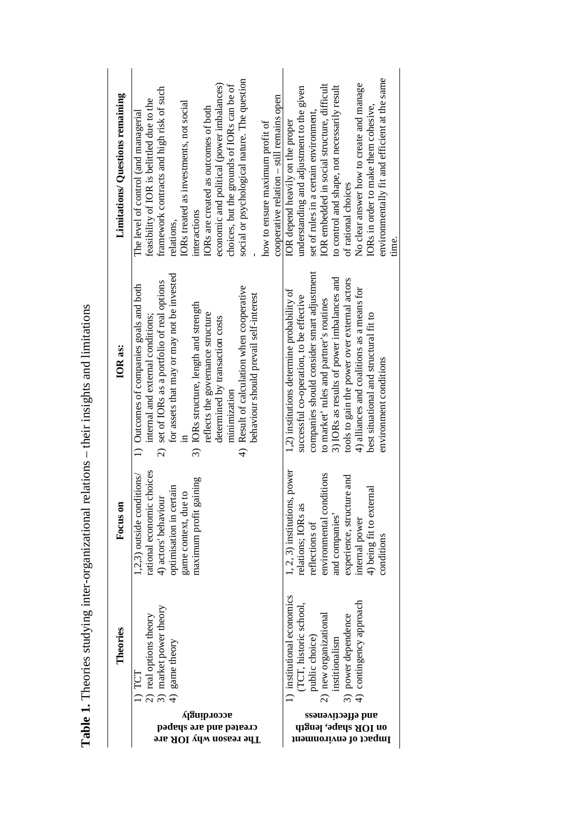| Limitations/ Questions remaining | social or psychological nature. The question<br>economic and political (power imbalances)<br>choices, but the grounds of IORs can be of<br>framework contracts and high risk of such<br>cooperative relation $-$ still remains open<br>feasibility of IOR is belittled due to the<br>IORs treated as investments, not social<br>IORs are created as outcomes of both<br>The level of control (and managerial<br>how to ensure maximum profit of<br>interactions<br>relations, | environmentally fit and efficient at the same<br>IOR embedded in social structure, difficult<br>No clear answer how to create and manage<br>to control and shape, not necessarily result<br>understanding and adjustment to the given<br>IORs in order to make them cohesive,<br>set of rules in a certain environment,<br>IOR depend heavily on the proper<br>of rational choices<br>time.     |
|----------------------------------|-------------------------------------------------------------------------------------------------------------------------------------------------------------------------------------------------------------------------------------------------------------------------------------------------------------------------------------------------------------------------------------------------------------------------------------------------------------------------------|-------------------------------------------------------------------------------------------------------------------------------------------------------------------------------------------------------------------------------------------------------------------------------------------------------------------------------------------------------------------------------------------------|
| <b>IOR</b> as:                   | for assets that may or may not be invested<br>2) set of IORs as a portfolio of real options<br>1) Outcomes of companies goals and both<br>4) Result of calculation when cooperative<br>behaviour should prevail self-interest<br>3) IORs structure, length and strength<br>reflects the governance structure<br>internal and external conditions;<br>determined by transaction costs<br>minimization                                                                          | companies should consider smart adjustment<br>3) IORs as results of power imbalances and<br>tools to gain the power over external actors<br>4) alliances and coalitions as a means for<br>1,2) institutions determine probability of<br>successful co-operation, to be effective<br>to market' rules and partner's routines<br>best situational and structural fit to<br>environment conditions |
| Focus on                         | rational economic choices<br>$(1,2,3)$ outside conditions/<br>maximum profit gaining<br>optimisation in certain<br>game context, due to<br>4) actors' behaviour                                                                                                                                                                                                                                                                                                               | 1, 2, 3) institutions, power<br>environmental conditions<br>experience, structure and<br>4) being fit to external<br>relations; IORs as<br>and companies'<br>internal power<br>reflections of<br>conditions                                                                                                                                                                                     |
| es<br>Theor                      | r theory<br>heory<br>market powe<br>game theory<br>real options<br>TCT<br>ລ<br>ລ<br>$\widehat{+}$                                                                                                                                                                                                                                                                                                                                                                             | sconomics<br>approach<br>school,<br>itional<br>dence<br>$ublic$ choice<br>new organiz<br>power deper<br>nstitionalism<br>institutiona<br>ର<br>ଳ                                                                                                                                                                                                                                                 |
|                                  | үзпірлоээв<br>created and are shaped<br>918 AOI ydw noss91 9dT                                                                                                                                                                                                                                                                                                                                                                                                                | ssəuəлµəəµə puɐ<br>on IOR shape, length<br>Impact of environment                                                                                                                                                                                                                                                                                                                                |

Table 1. Theories studying inter-organizational relations - their insights and limitations **Table 1.** Theories studying inter-organizational relations – their insights and limitations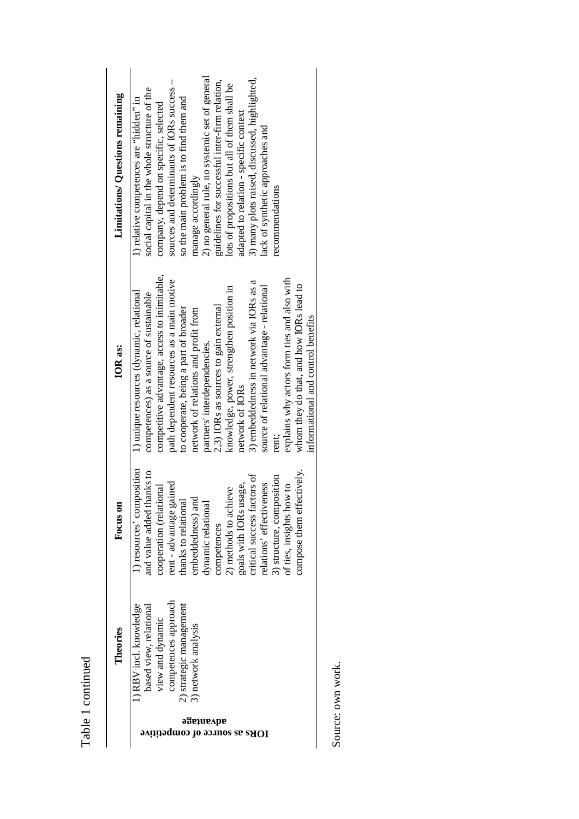Table 1 continued Table 1 continued

| Limitations/ Questions remaining | 2) no general rule, no systemic set of general<br>3) many plots raised, discussed, highlighted,<br>sources and determinants of IORs success -<br>guidelines for successful inter-firm relation,<br>lots of propositions but all of them shall be<br>social capital in the whole structure of the<br>so the main problem is to find them and<br>1) relative competences are "hidden" in<br>company, depend on specific, selected<br>adapted to relation - specific context<br>lack of synthetic approaches and<br>manage accordingly<br>recommendations                                                                                        |  |  |
|----------------------------------|-----------------------------------------------------------------------------------------------------------------------------------------------------------------------------------------------------------------------------------------------------------------------------------------------------------------------------------------------------------------------------------------------------------------------------------------------------------------------------------------------------------------------------------------------------------------------------------------------------------------------------------------------|--|--|
| IOR as:                          | competitive advantage, access to inimitable,<br>explains why actors form ties and also with<br>path dependent resources as a main motive<br>3) embeddedness in network via IORs as a<br>whom they do that, and how IORs lead to<br>source of relational advantage - relational<br>knowledge, power, strengthen position in<br>1) unique resources (dynamic, relational<br>competences) as a source of sustainable<br>2,3) IORs as sources to gain external<br>to cooperate, being a part of broader<br>network of relations and profit from<br>informational and control benefits<br>partners' interdependencies.<br>network of IORs<br>rent; |  |  |
| Focus on                         | 1) resources' composition<br>and value added thanks to<br>compose them effectively.<br>critical success factors of<br>3) structure, composition<br>relations' effectiveness<br>rent - advantage gained<br>goals with IORs usage,<br>of ties, insights how to<br>cooperation (relational<br>2) methods to achieve<br>embeddedness) and<br>thanks to relational<br>dynamic relational<br>competences                                                                                                                                                                                                                                            |  |  |
| es<br>Theori                     | approach<br>owledge<br>agement<br>ased view, relational<br>view and dynamic<br>network analysis<br>RBV incl. kno<br>competences<br>2) strategic man                                                                                                                                                                                                                                                                                                                                                                                                                                                                                           |  |  |
|                                  | эзвіпвув<br>IORs as source of competitive                                                                                                                                                                                                                                                                                                                                                                                                                                                                                                                                                                                                     |  |  |

Source: own work. Source: own work.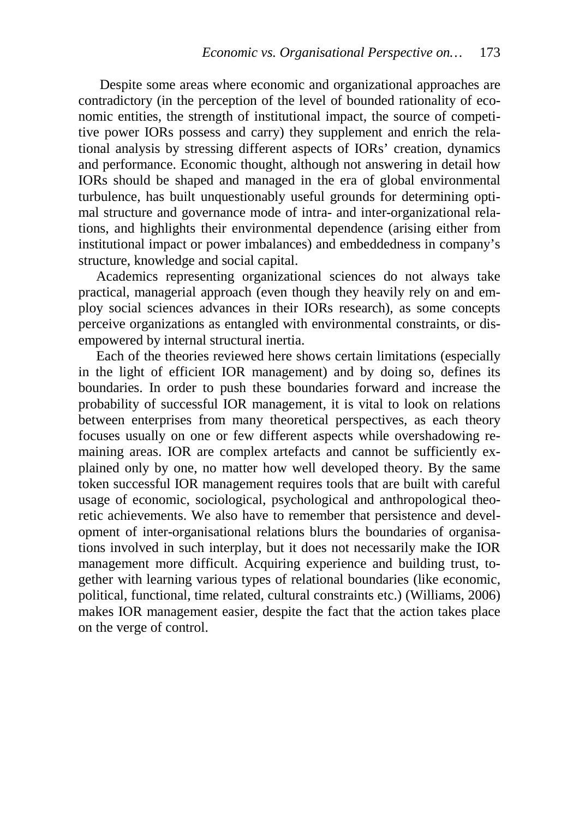Despite some areas where economic and organizational approaches are contradictory (in the perception of the level of bounded rationality of economic entities, the strength of institutional impact, the source of competitive power IORs possess and carry) they supplement and enrich the relational analysis by stressing different aspects of IORs' creation, dynamics and performance. Economic thought, although not answering in detail how IORs should be shaped and managed in the era of global environmental turbulence, has built unquestionably useful grounds for determining optimal structure and governance mode of intra- and inter-organizational relations, and highlights their environmental dependence (arising either from institutional impact or power imbalances) and embeddedness in company's structure, knowledge and social capital.

Academics representing organizational sciences do not always take practical, managerial approach (even though they heavily rely on and employ social sciences advances in their IORs research), as some concepts perceive organizations as entangled with environmental constraints, or disempowered by internal structural inertia.

Each of the theories reviewed here shows certain limitations (especially in the light of efficient IOR management) and by doing so, defines its boundaries. In order to push these boundaries forward and increase the probability of successful IOR management, it is vital to look on relations between enterprises from many theoretical perspectives, as each theory focuses usually on one or few different aspects while overshadowing remaining areas. IOR are complex artefacts and cannot be sufficiently explained only by one, no matter how well developed theory. By the same token successful IOR management requires tools that are built with careful usage of economic, sociological, psychological and anthropological theoretic achievements. We also have to remember that persistence and development of inter-organisational relations blurs the boundaries of organisations involved in such interplay, but it does not necessarily make the IOR management more difficult. Acquiring experience and building trust, together with learning various types of relational boundaries (like economic, political, functional, time related, cultural constraints etc.) (Williams, 2006) makes IOR management easier, despite the fact that the action takes place on the verge of control.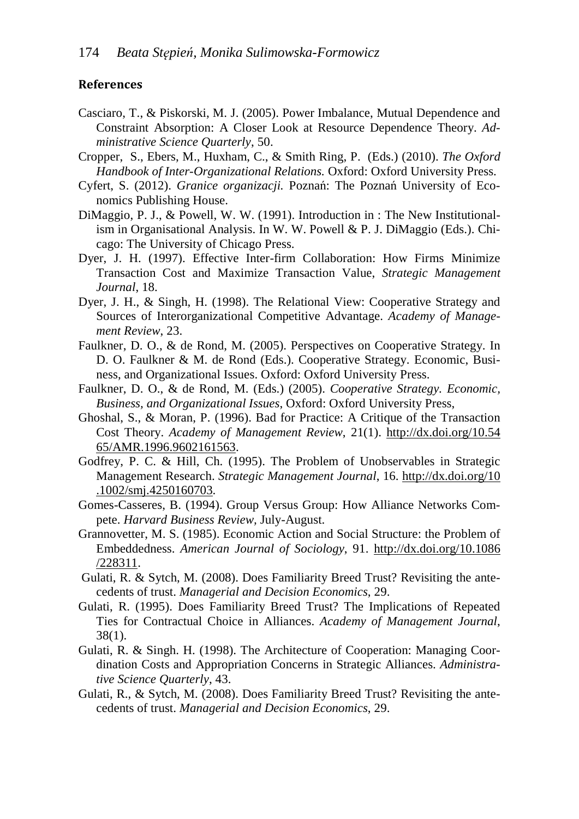#### **References**

- Casciaro, T., & Piskorski, M. J. (2005). Power Imbalance, Mutual Dependence and Constraint Absorption: A Closer Look at Resource Dependence Theory. *Administrative Science Quarterly*, 50.
- Cropper, S., Ebers, M., Huxham, C., & Smith Ring, P. (Eds.) (2010). *The Oxford Handbook of Inter-Organizational Relations.* Oxford: Oxford University Press.
- Cyfert, S. (2012). *Granice organizacji.* Poznań: The Poznań University of Economics Publishing House.
- DiMaggio, P. J., & Powell, W. W. (1991). Introduction in : The New Institutionalism in Organisational Analysis. In W. W. Powell & P. J. DiMaggio (Eds.). Chicago: The University of Chicago Press.
- Dyer, J. H. (1997). Effective Inter-firm Collaboration: How Firms Minimize Transaction Cost and Maximize Transaction Value, *Strategic Management Journal*, 18.
- Dyer, J. H., & Singh, H. (1998). The Relational View: Cooperative Strategy and Sources of Interorganizational Competitive Advantage. *Academy of Management Review*, 23.
- Faulkner, D. O., & de Rond, M. (2005). Perspectives on Cooperative Strategy. In D. O. Faulkner & M. de Rond (Eds.). Cooperative Strategy. Economic, Business, and Organizational Issues. Oxford: Oxford University Press.
- Faulkner, D. O., & de Rond, M. (Eds.) (2005). *Cooperative Strategy. Economic, Business, and Organizational Issues*, Oxford: Oxford University Press,
- Ghoshal, S., & Moran, P. (1996). Bad for Practice: A Critique of the Transaction Cost Theory. *Academy of Management Review*, 21(1). http://dx.doi.org/10.54 65/AMR.1996.9602161563.
- Godfrey, P. C. & Hill, Ch. (1995). The Problem of Unobservables in Strategic Management Research. *Strategic Management Journal*, 16. http://dx.doi.org/10 .1002/smj.4250160703.
- Gomes-Casseres, B. (1994). Group Versus Group: How Alliance Networks Compete. *Harvard Business Review,* July-August.
- Grannovetter, M. S. (1985). Economic Action and Social Structure: the Problem of Embeddedness. *American Journal of Sociology*, 91. http://dx.doi.org/10.1086 /228311.
- Gulati, R. & Sytch, M. (2008). Does Familiarity Breed Trust? Revisiting the antecedents of trust. *Managerial and Decision Economics*, 29.
- Gulati, R. (1995). Does Familiarity Breed Trust? The Implications of Repeated Ties for Contractual Choice in Alliances. *Academy of Management Journal*, 38(1).
- Gulati, R. & Singh. H. (1998). The Architecture of Cooperation: Managing Coordination Costs and Appropriation Concerns in Strategic Alliances. *Administrative Science Quarterly*, 43.
- Gulati, R., & Sytch, M. (2008). Does Familiarity Breed Trust? Revisiting the antecedents of trust. *Managerial and Decision Economics*, 29.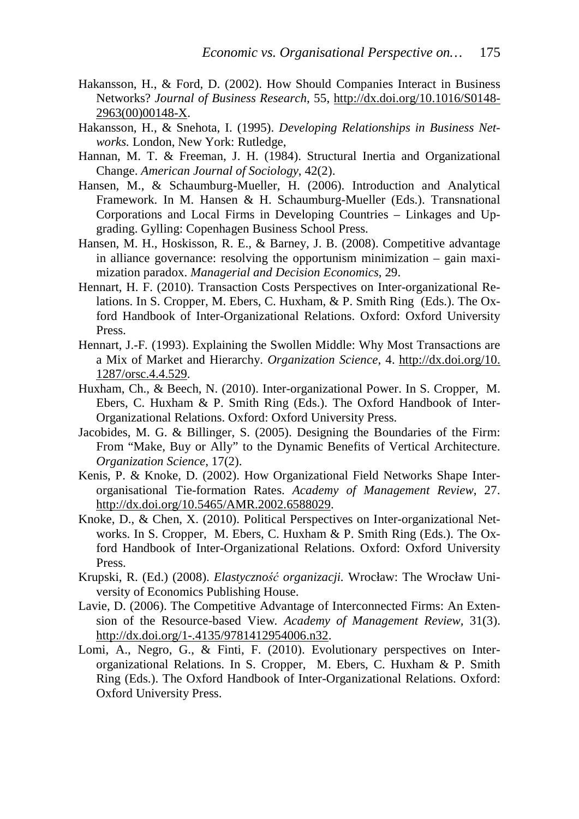- Hakansson, H., & Ford, D. (2002). How Should Companies Interact in Business Networks? *Journal of Business Research*, 55, http://dx.doi.org/10.1016/S0148- 2963(00)00148-X.
- Hakansson, H., & Snehota, I. (1995). *Developing Relationships in Business Networks.* London, New York: Rutledge,
- Hannan, M. T. & Freeman, J. H. (1984). Structural Inertia and Organizational Change. *American Journal of Sociology*, 42(2).
- Hansen, M., & Schaumburg-Mueller, H. (2006). Introduction and Analytical Framework. In M. Hansen & H. Schaumburg-Mueller (Eds.). Transnational Corporations and Local Firms in Developing Countries – Linkages and Upgrading. Gylling: Copenhagen Business School Press.
- Hansen, M. H., Hoskisson, R. E., & Barney, J. B. (2008). Competitive advantage in alliance governance: resolving the opportunism minimization – gain maximization paradox. *Managerial and Decision Economics*, 29.
- Hennart, H. F. (2010). Transaction Costs Perspectives on Inter-organizational Relations. In S. Cropper, M. Ebers, C. Huxham, & P. Smith Ring (Eds.). The Oxford Handbook of Inter-Organizational Relations. Oxford: Oxford University Press.
- Hennart, J.-F*.* (1993). Explaining the Swollen Middle: Why Most Transactions are a Mix of Market and Hierarchy. *Organization Science*, 4. http://dx.doi.org/10. 1287/orsc.4.4.529.
- Huxham, Ch., & Beech, N. (2010). Inter-organizational Power. In S. Cropper, M. Ebers, C. Huxham & P. Smith Ring (Eds.). The Oxford Handbook of Inter-Organizational Relations. Oxford: Oxford University Press.
- Jacobides, M. G. & Billinger, S. (2005). Designing the Boundaries of the Firm: From "Make, Buy or Ally" to the Dynamic Benefits of Vertical Architecture. *Organization Science*, 17(2).
- Kenis, P. & Knoke, D. (2002). How Organizational Field Networks Shape Interorganisational Tie-formation Rates. *Academy of Management Review*, 27. http://dx.doi.org/10.5465/AMR.2002.6588029.
- Knoke, D., & Chen, X. (2010). Political Perspectives on Inter-organizational Networks. In S. Cropper, M. Ebers, C. Huxham & P. Smith Ring (Eds.). The Oxford Handbook of Inter-Organizational Relations. Oxford: Oxford University Press.
- Krupski, R. (Ed.) (2008). *Elastyczność organizacji.* Wrocław: The Wrocław University of Economics Publishing House.
- Lavie, D. (2006). The Competitive Advantage of Interconnected Firms: An Extension of the Resource-based View*. Academy of Management Review,* 31(3). http://dx.doi.org/1-.4135/9781412954006.n32.
- Lomi, A., Negro, G., & Finti, F. (2010). Evolutionary perspectives on Interorganizational Relations. In S. Cropper, M. Ebers, C. Huxham & P. Smith Ring (Eds.). The Oxford Handbook of Inter-Organizational Relations. Oxford: Oxford University Press.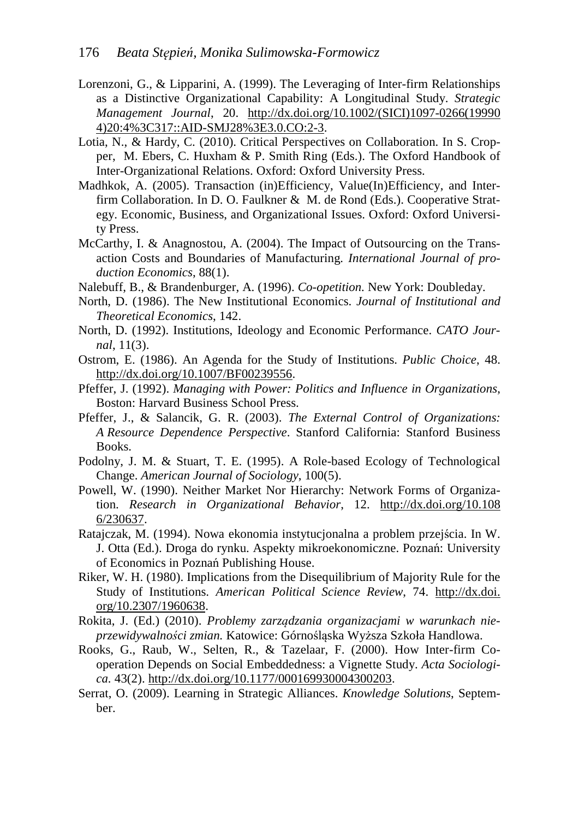- Lorenzoni, G., & Lipparini, A. (1999). The Leveraging of Inter-firm Relationships as a Distinctive Organizational Capability: A Longitudinal Study. *Strategic Management Journal*, 20. http://dx.doi.org/10.1002/(SICI)1097-0266(19990 4)20:4%3C317::AID-SMJ28%3E3.0.CO:2-3.
- Lotia, N., & Hardy, C. (2010). Critical Perspectives on Collaboration. In S. Cropper, M. Ebers, C. Huxham & P. Smith Ring (Eds.). The Oxford Handbook of Inter-Organizational Relations. Oxford: Oxford University Press.
- Madhkok, A. (2005). Transaction (in)Efficiency, Value(In)Efficiency, and Interfirm Collaboration. In D. O. Faulkner & M. de Rond (Eds.). Cooperative Strategy. Economic, Business, and Organizational Issues. Oxford: Oxford University Press.
- McCarthy, I. & Anagnostou, A. (2004). The Impact of Outsourcing on the Transaction Costs and Boundaries of Manufacturing*. International Journal of production Economics*, 88(1).
- Nalebuff, B., & Brandenburger, A. (1996). *Co-opetition.* New York: Doubleday.
- North, D. (1986). The New Institutional Economics. *Journal of Institutional and Theoretical Economics*, 142.
- North, D. (1992). Institutions, Ideology and Economic Performance. *CATO Journal*, 11(3).
- Ostrom, E. (1986). An Agenda for the Study of Institutions. *Public Choice*, 48. http://dx.doi.org/10.1007/BF00239556.
- Pfeffer, J. (1992). *Managing with Power: Politics and Influence in Organizations*, Boston: Harvard Business School Press.
- Pfeffer, J., & Salancik, G. R. (2003). *The External Control of Organizations: A Resource Dependence Perspective*. Stanford California: Stanford Business Books.
- Podolny, J. M. & Stuart, T. E. (1995). A Role-based Ecology of Technological Change. *American Journal of Sociology*, 100(5).
- Powell, W. (1990). Neither Market Nor Hierarchy: Network Forms of Organization. *Research in Organizational Behavior*, 12. http://dx.doi.org/10.108 6/230637.
- Ratajczak, M. (1994). Nowa ekonomia instytucjonalna a problem przejścia. In W. J. Otta (Ed.). Droga do rynku. Aspekty mikroekonomiczne. Poznań: University of Economics in Poznań Publishing House.
- Riker, W. H. (1980). Implications from the Disequilibrium of Majority Rule for the Study of Institutions. *American Political Science Review*, 74. http://dx.doi. org/10.2307/1960638.
- Rokita, J. (Ed.) (2010). *Problemy zarządzania organizacjami w warunkach nieprzewidywalności zmian.* Katowice: Górnośląska Wyższa Szkoła Handlowa.
- Rooks, G., Raub, W., Selten, R., & Tazelaar, F. (2000). How Inter-firm Cooperation Depends on Social Embeddedness: a Vignette Study. *Acta Sociologica.* 43(2). http://dx.doi.org/10.1177/000169930004300203.
- Serrat, O. (2009). Learning in Strategic Alliances. *Knowledge Solutions*, September.